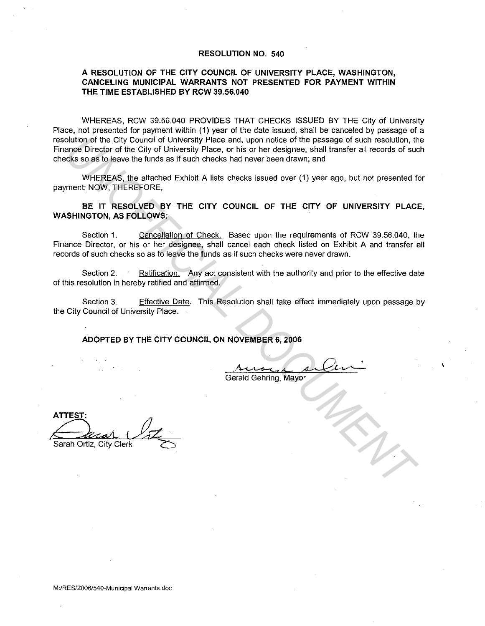## **RESOLUTION NO. 540**

## **A RESOLUTION OF THE CITY COUNCIL OF UNIVERSITY PLACE, WASHINGTON, CANCELING MUNICIPAL WARRANTS NOT PRESENTED FOR PAYMENT WITHIN THE TIME ESTABLISHED BY RCW 39.56.040**

WHEREAS, RCW 39.56.040 PROVIDES THAT CHECKS ISSUED BY THE City of University Place, not presented for payment within (1) year of the date issued, shall be canceled by passage of a resolution of the City Council of University Place and, upon notice of the passage of such resolution, the Finance Director of the City of University Place, or his or her designee, shall transfer all records of such checks so as to leave the funds as if such checks had never been drawn; and olution of the City Council of University Place and, upon rotice of the passage of such resolution, the case of the city of University Place, or his or her designee, shall transfer all records of such that the set of such

WHEREAS, the attached Exhibit A lists checks issued over (1) year ago, but not presented for payment; NOW, THEREFORE,

**BE IT RESOLVED BY THE CITY COUNCIL OF THE CITY OF UNIVERSITY PLACE, WASHINGTON, AS FOLLOWS:** 

Section 1. Cancellation of Check. Based upon the requirements of RCW 39.56.040, the Finance Director, or his or her designee, shall cancel each check listed on Exhibit A and transfer all records of such checks so as to leave the funds as if such checks were never drawn.

Section 2. Ratification. Any act consistent with the authority and prior to the effective date of this resolution in hereby ratified and affirmed.

Section 3. Effective Date. This Resolution shall take effect immediately upon passage by the City Council of University Place.

**ADOPTED BY THE CITY COUNCIL ON NOVEMBER 6, 2006** 

 $\Lambda$ usul silu-Gerald Gehring, Mayor